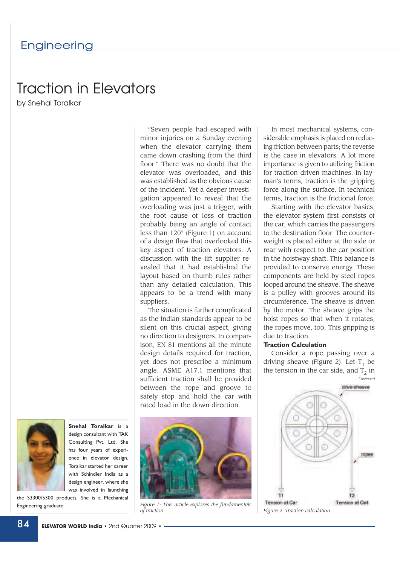# Traction in Elevators

by Snehal Toralkar



**Snehal Toralkar** is a design consultant with TAK Consulting Pvt. Ltd. She has four years of experience in elevator design. Toralkar started her career with Schindler India as a design engineer, where she was involved in launching

the S3300/5300 products. She is a Mechanical Engineering graduate.

"Seven people had escaped with minor injuries on a Sunday evening when the elevator carrying them came down crashing from the third floor." There was no doubt that the elevator was overloaded, and this was established as the obvious cause of the incident. Yet a deeper investigation appeared to reveal that the overloading was just a trigger, with the root cause of loss of traction probably being an angle of contact less than 120° (Figure 1) on account of a design flaw that overlooked this key aspect of traction elevators. A discussion with the lift supplier revealed that it had established the layout based on thumb rules rather than any detailed calculation. This appears to be a trend with many suppliers.

The situation is further complicated as the Indian standards appear to be silent on this crucial aspect, giving no direction to designers. In comparison, EN 81 mentions all the minute design details required for traction, yet does not prescribe a minimum angle. ASME A17.1 mentions that sufficient traction shall be provided between the rope and groove to safely stop and hold the car with rated load in the down direction.



*Figure 1: This article explores the fundamentals*

In most mechanical systems, considerable emphasis is placed on reducing friction between parts; the reverse is the case in elevators. A lot more importance is given to utilizing friction for traction-driven machines. In layman's terms, traction is the gripping force along the surface. In technical terms, traction is the frictional force.

Starting with the elevator basics, the elevator system first consists of the car, which carries the passengers to the destination floor. The counterweight is placed either at the side or rear with respect to the car position in the hoistway shaft. This balance is provided to conserve energy. These components are held by steel ropes looped around the sheave. The sheave is a pulley with grooves around its circumference. The sheave is driven by the motor. The sheave grips the hoist ropes so that when it rotates, the ropes move, too. This gripping is due to traction.

Consider a rope passing over a driving sheave (Figure 2). Let  $T_1$  be the tension in the car side, and  $T<sub>2</sub>$  in *Continued*



*of traction. Figure 2: Traction calculation*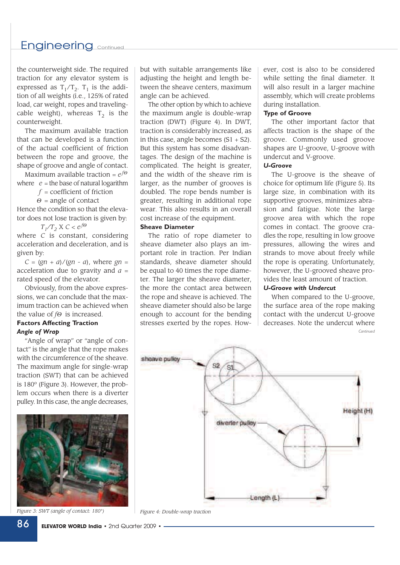## Engineering continued

the counterweight side. The required traction for any elevator system is expressed as  $T_1/T_2$ .  $T_1$  is the addition of all weights (i.e., 125% of rated load, car weight, ropes and travelingcable weight), whereas  $T_2$  is the counterweight.

The maximum available traction that can be developed is a function of the actual coefficient of friction between the rope and groove, the shape of groove and angle of contact.

Maximum available traction = *e <sup>f</sup>*<sup>Θ</sup> where  $e =$  the base of natural logarithm

*f* = coefficient of friction

 $\Theta$  = angle of contact

Hence the condition so that the elevator does not lose traction is given by:

 $T_1/T_2$  *X*  $C < e^{f\Theta}$ where *C* is constant, considering acceleration and deceleration, and is given by:

 $C = (gn + a)/(gn - a)$ , where  $gn =$ acceleration due to gravity and  $a =$ rated speed of the elevator.

Obviously, from the above expressions, we can conclude that the maximum traction can be achieved when the value of *f*<sup>Θ</sup> is increased.

# **Factors Affecting Traction** *Angle of Wrap*

"Angle of wrap" or "angle of contact" is the angle that the rope makes with the circumference of the sheave. The maximum angle for single-wrap traction (SWT) that can be achieved is 180º (Figure 3). However, the problem occurs when there is a diverter pulley. In this case, the angle decreases,



*Figure 3: SWT (angle of contact: 180°) Figure 4: Double-wrap traction*

but with suitable arrangements like adjusting the height and length between the sheave centers, maximum angle can be achieved.

The other option by which to achieve the maximum angle is double-wrap traction (DWT) (Figure 4). In DWT, traction is considerably increased, as in this case, angle becomes  $(S1 + S2)$ . But this system has some disadvantages. The design of the machine is complicated. The height is greater, and the width of the sheave rim is larger, as the number of grooves is doubled. The rope bends number is greater, resulting in additional rope wear. This also results in an overall cost increase of the equipment.

#### **Sheave Diameter**

The ratio of rope diameter to sheave diameter also plays an important role in traction. Per Indian standards, sheave diameter should be equal to 40 times the rope diameter. The larger the sheave diameter, the more the contact area between the rope and sheave is achieved. The sheave diameter should also be large enough to account for the bending stresses exerted by the ropes. However, cost is also to be considered while setting the final diameter. It will also result in a larger machine assembly, which will create problems during installation.

The other important factor that affects traction is the shape of the groove. Commonly used groove shapes are U-groove, U-groove with undercut and V-groove.

#### *U-Groove*

The U-groove is the sheave of choice for optimum life (Figure 5). Its large size, in combination with its supportive grooves, minimizes abrasion and fatigue. Note the large groove area with which the rope comes in contact. The groove cradles the rope, resulting in low groove pressures, allowing the wires and strands to move about freely while the rope is operating. Unfortunately, however, the U-grooved sheave provides the least amount of traction.

#### *U-Groove with Undercut*

When compared to the U-groove, the surface area of the rope making contact with the undercut U-groove decreases. Note the undercut where *Continued*